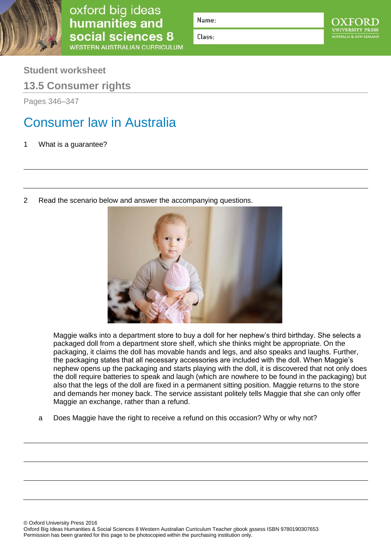

oxford big ideas<br>humanities and social sciences 8 **WESTERN AUSTRALIAN CURRICULUM** 

Name:

Class:

**Student worksheet**

**13.5 Consumer rights**

Pages 346–347

## Consumer law in Australia

1 What is a guarantee?

2 Read the scenario below and answer the accompanying questions.



Maggie walks into a department store to buy a doll for her nephew's third birthday. She selects a packaged doll from a department store shelf, which she thinks might be appropriate. On the packaging, it claims the doll has movable hands and legs, and also speaks and laughs. Further, the packaging states that all necessary accessories are included with the doll. When Maggie's nephew opens up the packaging and starts playing with the doll, it is discovered that not only does the doll require batteries to speak and laugh (which are nowhere to be found in the packaging) but also that the legs of the doll are fixed in a permanent sitting position. Maggie returns to the store and demands her money back. The service assistant politely tells Maggie that she can only offer Maggie an exchange, rather than a refund.

a Does Maggie have the right to receive a refund on this occasion? Why or why not?

© Oxford University Press 2016

Oxford Big Ideas Humanities & Social Sciences 8 Western Australian Curriculum Teacher obook assess ISBN 9780190307653 Permission has been granted for this page to be photocopied within the purchasing institution only.